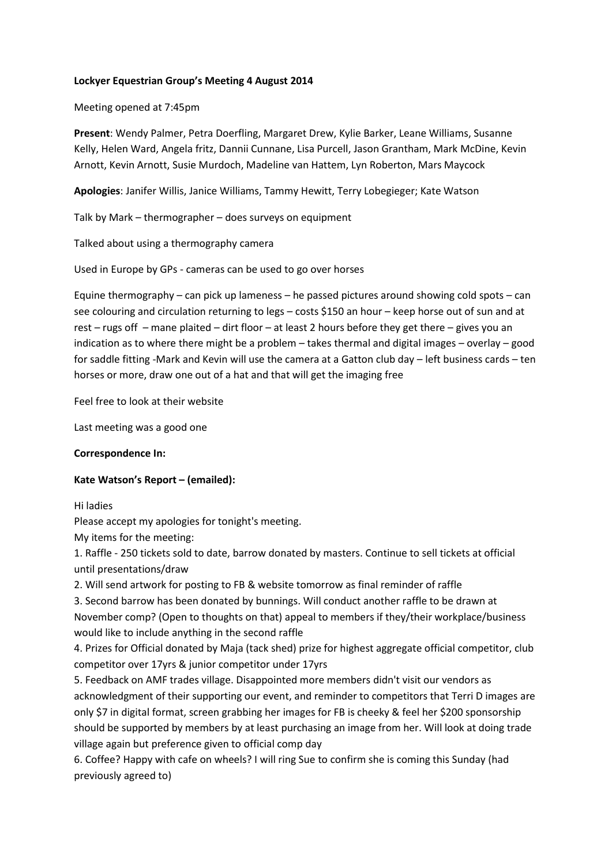### **Lockyer Equestrian Group's Meeting 4 August 2014**

Meeting opened at 7:45pm

**Present**: Wendy Palmer, Petra Doerfling, Margaret Drew, Kylie Barker, Leane Williams, Susanne Kelly, Helen Ward, Angela fritz, Dannii Cunnane, Lisa Purcell, Jason Grantham, Mark McDine, Kevin Arnott, Kevin Arnott, Susie Murdoch, Madeline van Hattem, Lyn Roberton, Mars Maycock

**Apologies**: Janifer Willis, Janice Williams, Tammy Hewitt, Terry Lobegieger; Kate Watson

Talk by Mark – thermographer – does surveys on equipment

Talked about using a thermography camera

Used in Europe by GPs - cameras can be used to go over horses

Equine thermography – can pick up lameness – he passed pictures around showing cold spots – can see colouring and circulation returning to legs – costs \$150 an hour – keep horse out of sun and at rest – rugs off – mane plaited – dirt floor – at least 2 hours before they get there – gives you an indication as to where there might be a problem – takes thermal and digital images – overlay – good for saddle fitting -Mark and Kevin will use the camera at a Gatton club day – left business cards – ten horses or more, draw one out of a hat and that will get the imaging free

Feel free to look at their website

Last meeting was a good one

#### **Correspondence In:**

# **Kate Watson's Report – (emailed):**

#### Hi ladies

Please accept my apologies for tonight's meeting.

My items for the meeting:

1. Raffle - 250 tickets sold to date, barrow donated by masters. Continue to sell tickets at official until presentations/draw

2. Will send artwork for posting to FB & website tomorrow as final reminder of raffle

3. Second barrow has been donated by bunnings. Will conduct another raffle to be drawn at November comp? (Open to thoughts on that) appeal to members if they/their workplace/business would like to include anything in the second raffle

4. Prizes for Official donated by Maja (tack shed) prize for highest aggregate official competitor, club competitor over 17yrs & junior competitor under 17yrs

5. Feedback on AMF trades village. Disappointed more members didn't visit our vendors as acknowledgment of their supporting our event, and reminder to competitors that Terri D images are only \$7 in digital format, screen grabbing her images for FB is cheeky & feel her \$200 sponsorship should be supported by members by at least purchasing an image from her. Will look at doing trade village again but preference given to official comp day

6. Coffee? Happy with cafe on wheels? I will ring Sue to confirm she is coming this Sunday (had previously agreed to)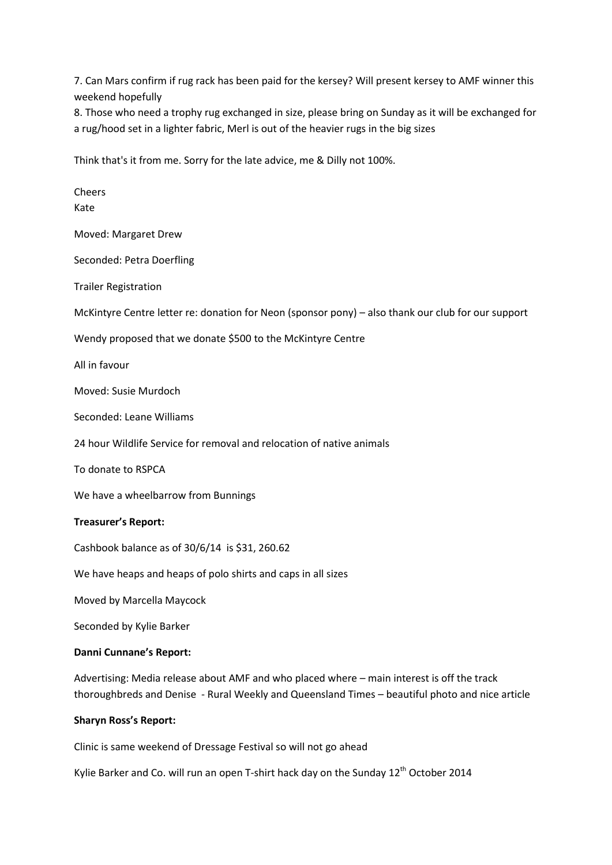7. Can Mars confirm if rug rack has been paid for the kersey? Will present kersey to AMF winner this weekend hopefully

8. Those who need a trophy rug exchanged in size, please bring on Sunday as it will be exchanged for a rug/hood set in a lighter fabric, Merl is out of the heavier rugs in the big sizes

Think that's it from me. Sorry for the late advice, me & Dilly not 100%.

Cheers Kate Moved: Margaret Drew Seconded: Petra Doerfling Trailer Registration McKintyre Centre letter re: donation for Neon (sponsor pony) – also thank our club for our support Wendy proposed that we donate \$500 to the McKintyre Centre All in favour Moved: Susie Murdoch Seconded: Leane Williams 24 hour Wildlife Service for removal and relocation of native animals To donate to RSPCA We have a wheelbarrow from Bunnings **Treasurer's Report:** Cashbook balance as of 30/6/14 is \$31, 260.62 We have heaps and heaps of polo shirts and caps in all sizes Moved by Marcella Maycock Seconded by Kylie Barker **Danni Cunnane's Report:** Advertising: Media release about AMF and who placed where – main interest is off the track thoroughbreds and Denise - Rural Weekly and Queensland Times – beautiful photo and nice article

#### **Sharyn Ross's Report:**

Clinic is same weekend of Dressage Festival so will not go ahead

Kylie Barker and Co. will run an open T-shirt hack day on the Sunday 12<sup>th</sup> October 2014